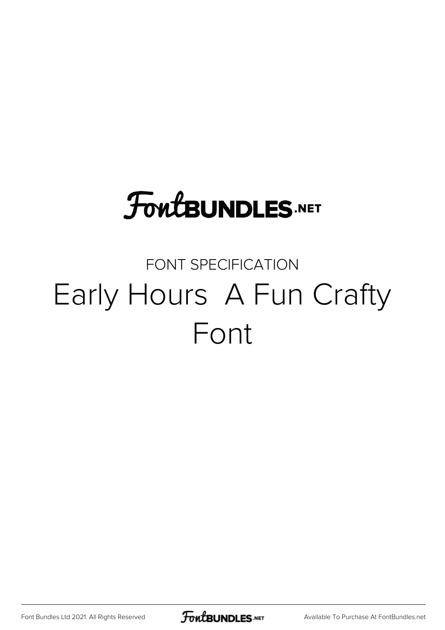# **FoutBUNDLES.NET**

#### FONT SPECIFICATION Early Hours A Fun Crafty Font

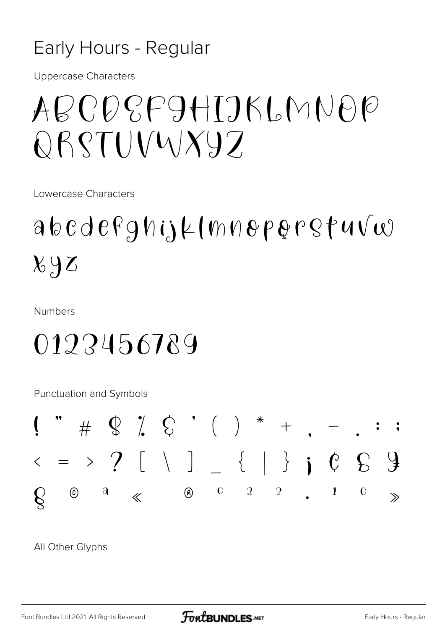#### Early Hours - Regular

**Uppercase Characters** 

## ABCDCFAHTIKINNAP OBSTUVWX97

Lowercase Characters

### $a b c d e f g h i j \mu (m n e p e r g f u v \omega$  $x_{0}$

**Numbers** 

#### 0122456789

Punctuation and Symbols



All Other Glyphs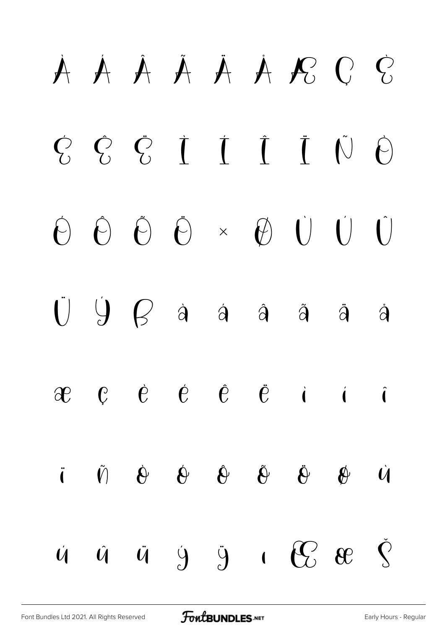# À Á Â Ã Ä Å Æ Ç È É Ê Ë Ì Í Î Ï Ñ Ò Ó Ô Õ Ö × Ø Ù Ú Û  $\ddot{U}$   $\dot{Y}$   $\dot{B}$  à á á å å å  $\begin{array}{ccccccccccccccccccccc}\n\mathbf{c} & \mathbf{c} & \mathbf{c} & \mathbf{c} & \mathbf{c} & \mathbf{c} & \mathbf{c} & \mathbf{c} & \mathbf{c} & \mathbf{c} & \mathbf{c} & \mathbf{c} & \mathbf{c} & \mathbf{c} & \mathbf{c} & \mathbf{c} & \mathbf{c} & \mathbf{c} & \mathbf{c} & \mathbf{c} & \mathbf{c} & \mathbf{c} & \mathbf{c} & \mathbf{c} & \mathbf{c} & \mathbf{c} & \mathbf{c} & \mathbf{c} & \mathbf{c} & \mathbf{$ ï ñ ò ó ô õ ö ø ù  $\dot{u}$   $\ddot{u}$   $\ddot{y}$   $\ddot{y}$   $\ddot{y}$   $\ddot{c}$   $\dot{c}$   $\ddot{c}$   $\ddot{c}$